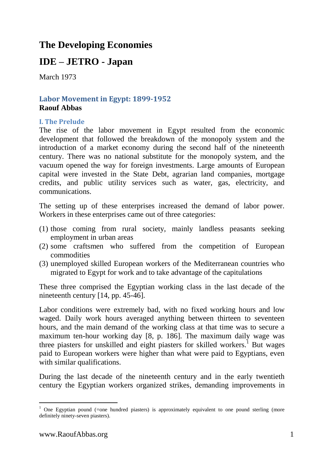# **The Developing Economies**

# **IDE – JETRO - Japan**

March 1973

## **Labor Movement in Egypt: 1899-1952 Raouf Abbas**

### **I. The Prelude**

The rise of the labor movement in Egypt resulted from the economic development that followed the breakdown of the monopoly system and the introduction of a market economy during the second half of the nineteenth century. There was no national substitute for the monopoly system, and the vacuum opened the way for foreign investments. Large amounts of European capital were invested in the State Debt, agrarian land companies, mortgage credits, and public utility services such as water, gas, electricity, and communications.

The setting up of these enterprises increased the demand of labor power. Workers in these enterprises came out of three categories:

- (1) those coming from rural society, mainly landless peasants seeking employment in urban areas
- (2) some craftsmen who suffered from the competition of European commodities
- (3) unemployed skilled European workers of the Mediterranean countries who migrated to Egypt for work and to take advantage of the capitulations

These three comprised the Egyptian working class in the last decade of the nineteenth century [14, pp. 45-46].

Labor conditions were extremely bad, with no fixed working hours and low waged. Daily work hours averaged anything between thirteen to seventeen hours, and the main demand of the working class at that time was to secure a maximum ten-hour working day [8, p. 186]. The maximum daily wage was three piasters for unskilled and eight piasters for skilled workers.<sup>1</sup> But wages paid to European workers were higher than what were paid to Egyptians, even with similar qualifications.

During the last decade of the nineteenth century and in the early twentieth century the Egyptian workers organized strikes, demanding improvements in

 $\overline{a}$ 

One Egyptian pound (=one hundred piasters) is approximately equivalent to one pound sterling (more definitely ninety-seven piasters).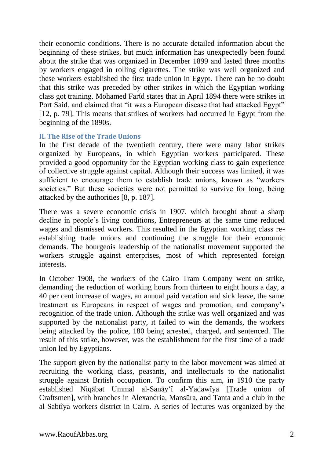their economic conditions. There is no accurate detailed information about the beginning of these strikes, but much information has unexpectedly been found about the strike that was organized in December 1899 and lasted three months by workers engaged in rolling cigarettes. The strike was well organized and these workers established the first trade union in Egypt. There can be no doubt that this strike was preceded by other strikes in which the Egyptian working class got training. Mohamed Farίd states that in April 1894 there were strikes in Port Said, and claimed that "it was a European disease that had attacked Egypt" [12, p. 79]. This means that strikes of workers had occurred in Egypt from the beginning of the 1890s.

### **II. The Rise of the Trade Unions**

In the first decade of the twentieth century, there were many labor strikes organized by Europeans, in which Egyptian workers participated. These provided a good opportunity for the Egyptian working class to gain experience of collective struggle against capital. Although their success was limited, it was sufficient to encourage them to establish trade unions, known as "workers societies." But these societies were not permitted to survive for long, being attacked by the authorities [8, p. 187].

There was a severe economic crisis in 1907, which brought about a sharp decline in people's living conditions, Entrepreneurs at the same time reduced wages and dismissed workers. This resulted in the Egyptian working class reestablishing trade unions and continuing the struggle for their economic demands. The bourgeois leadership of the nationalist movement supported the workers struggle against enterprises, most of which represented foreign interests.

In October 1908, the workers of the Cairo Tram Company went on strike, demanding the reduction of working hours from thirteen to eight hours a day, a 40 per cent increase of wages, an annual paid vacation and sick leave, the same treatment as Europeans in respect of wages and promotion, and company's recognition of the trade union. Although the strike was well organized and was supported by the nationalist party, it failed to win the demands, the workers being attacked by the police, 180 being arrested, charged, and sentenced. The result of this strike, however, was the establishment for the first time of a trade union led by Egyptians.

The support given by the nationalist party to the labor movement was aimed at recruiting the working class, peasants, and intellectuals to the nationalist struggle against British occupation. To confirm this aim, in 1910 the party established Niqābat Ummal al-Sanāyʻî al-Yadawîya [Trade union of Craftsmen], with branches in Alexandria, Mansūra, and Tanta and a club in the al-Sabtîya workers district in Cairo. A series of lectures was organized by the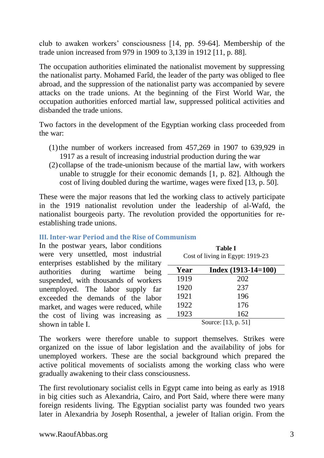club to awaken workers' consciousness [14, pp. 59-64]. Membership of the trade union increased from 979 in 1909 to 3,139 in 1912 [11, p. 88].

The occupation authorities eliminated the nationalist movement by suppressing the nationalist party. Mohamed Farîd, the leader of the party was obliged to flee abroad, and the suppression of the nationalist party was accompanied by severe attacks on the trade unions. At the beginning of the First World War, the occupation authorities enforced martial law, suppressed political activities and disbanded the trade unions.

Two factors in the development of the Egyptian working class proceeded from the war:

- (1) the number of workers increased from  $457,269$  in 1907 to  $639,929$  in 1917 as a result of increasing industrial production during the war
- (2) collapse of the trade-unionism because of the martial law, with workers unable to struggle for their economic demands [1, p. 82]. Although the cost of living doubled during the wartime, wages were fixed [13, p. 50].

These were the major reasons that led the working class to actively participate in the 1919 nationalist revolution under the leadership of al-Wafd, the nationalist bourgeois party. The revolution provided the opportunities for reestablishing trade unions.

### **III. Inter-war Period and the Rise of Communism**

## In the postwar years, labor conditions

were very unsettled, most industrial enterprises established by the military authorities during wartime being suspended, with thousands of workers unemployed. The labor supply far exceeded the demands of the labor market, and wages were reduced, while the cost of living was increasing as shown in table I.

| <b>Table I</b><br>Cost of living in Egypt: 1919-23 |                       |  |
|----------------------------------------------------|-----------------------|--|
| Year                                               | $Index (1913-14=100)$ |  |
| 1919                                               | 202                   |  |
| 1920                                               | 237                   |  |
| 1921                                               | 196                   |  |
| 1922                                               | 176                   |  |
| 1923                                               | 162                   |  |
|                                                    | Source: [13, p. 51]   |  |

The workers were therefore unable to support themselves. Strikes were organized on the issue of labor legislation and the availability of jobs for unemployed workers. These are the social background which prepared the active political movements of socialists among the working class who were gradually awakening to their class consciousness.

The first revolutionary socialist cells in Egypt came into being as early as 1918 in big cities such as Alexandria, Cairo, and Port Said, where there were many foreign residents living. The Egyptian socialist party was founded two years later in Alexandria by Joseph Rosenthal, a jeweler of Italian origin. From the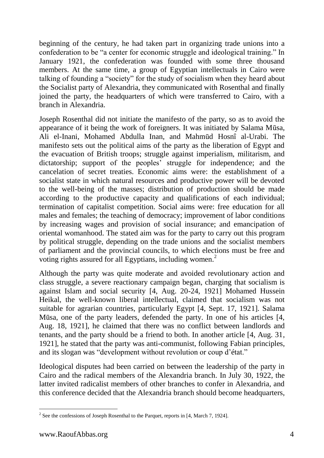beginning of the century, he had taken part in organizing trade unions into a confederation to be "a center for economic struggle and ideological training." In January 1921, the confederation was founded with some three thousand members. At the same time, a group of Egyptian intellectuals in Cairo were talking of founding a "society" for the study of socialism when they heard about the Socialist party of Alexandria, they communicated with Rosenthal and finally joined the party, the headquarters of which were transferred to Cairo, with a branch in Alexandria.

Joseph Rosenthal did not initiate the manifesto of the party, so as to avoid the appearance of it being the work of foreigners. It was initiated by Salama Mūsa, Ali el-Inani, Mohamed Abdulla Inan, and Mahmūd Hosnî al-Urabi. The manifesto sets out the political aims of the party as the liberation of Egypt and the evacuation of British troops; struggle against imperialism, militarism, and dictatorship; support of the peoples' struggle for independence; and the cancelation of secret treaties. Economic aims were: the establishment of a socialist state in which natural resources and productive power will be devoted to the well-being of the masses; distribution of production should be made according to the productive capacity and qualifications of each individual; termination of capitalist competition. Social aims were: free education for all males and females; the teaching of democracy; improvement of labor conditions by increasing wages and provision of social insurance; and emancipation of oriental womanhood. The stated aim was for the party to carry out this program by political struggle, depending on the trade unions and the socialist members of parliament and the provincial councils, to which elections must be free and voting rights assured for all Egyptians, including women.<sup>2</sup>

Although the party was quite moderate and avoided revolutionary action and class struggle, a severe reactionary campaign began, charging that socialism is against Islam and social security [4, Aug. 20-24, 1921] Mohamed Hussein Heikal, the well-known liberal intellectual, claimed that socialism was not suitable for agrarian countries, particularly Egypt [4, Sept. 17, 1921]. Salama Mūsa, one of the party leaders, defended the party. In one of his articles [4, Aug. 18, 1921], he claimed that there was no conflict between landlords and tenants, and the party should be a friend to both. In another article [4, Aug. 31, 1921], he stated that the party was anti-communist, following Fabian principles, and its slogan was "development without revolution or coup d'état."

Ideological disputes had been carried on between the leadership of the party in Cairo and the radical members of the Alexandria branch. In July 30, 1922, the latter invited radicalist members of other branches to confer in Alexandria, and this conference decided that the Alexandria branch should become headquarters,

<sup>&</sup>lt;sup>2</sup> See the confessions of Joseph Rosenthal to the Parquet, reports in [4, March 7, 1924].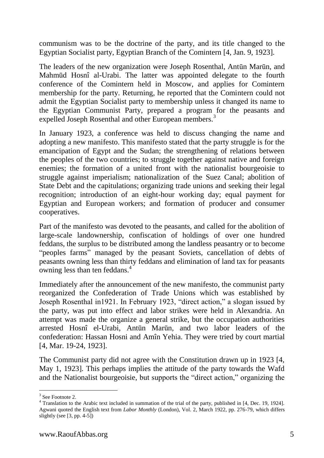communism was to be the doctrine of the party, and its title changed to the Egyptian Socialist party, Egyptian Branch of the Comintern [4, Jan. 9, 1923].

The leaders of the new organization were Joseph Rosenthal, Antūn Marūn, and Mahmūd Hosnî al-Urabi. The latter was appointed delegate to the fourth conference of the Comintern held in Moscow, and applies for Comintern membership for the party. Returning, he reported that the Comintern could not admit the Egyptian Socialist party to membership unless it changed its name to the Egyptian Communist Party, prepared a program for the peasants and expelled Joseph Rosenthal and other European members.<sup>3</sup>

In January 1923, a conference was held to discuss changing the name and adopting a new manifesto. This manifesto stated that the party struggle is for the emancipation of Egypt and the Sudan; the strengthening of relations between the peoples of the two countries; to struggle together against native and foreign enemies; the formation of a united front with the nationalist bourgeoisie to struggle against imperialism; nationalization of the Suez Canal; abolition of State Debt and the capitulations; organizing trade unions and seeking their legal recognition; introduction of an eight-hour working day; equal payment for Egyptian and European workers; and formation of producer and consumer cooperatives.

Part of the manifesto was devoted to the peasants, and called for the abolition of large-scale landownership, confiscation of holdings of over one hundred feddans, the surplus to be distributed among the landless peasantry or to become "peoples farms" managed by the peasant Soviets, cancellation of debts of peasants owning less than thirty feddans and elimination of land tax for peasants owning less than ten feddans.<sup>4</sup>

Immediately after the announcement of the new manifesto, the communist party reorganized the Confederation of Trade Unions which was established by Joseph Rosenthal in1921. In February 1923, "direct action," a slogan issued by the party, was put into effect and labor strikes were held in Alexandria. An attempt was made the organize a general strike, but the occupation authorities arrested Hosnî el-Urabi, Antūn Marūn, and two labor leaders of the confederation: Hassan Hosni and Amîn Yehia. They were tried by court martial [4, Mar. 19-24, 1923].

The Communist party did not agree with the Constitution drawn up in 1923 [4, May 1, 1923]. This perhaps implies the attitude of the party towards the Wafd and the Nationalist bourgeoisie, but supports the "direct action," organizing the

-

<sup>&</sup>lt;sup>3</sup> See Footnote 2.

<sup>&</sup>lt;sup>4</sup> Translation to the Arabic text included in summation of the trial of the party, published in [4, Dec. 19, 1924]. Agwani quoted the English text from *Labor Monthly* (London), Vol. 2, March 1922, pp. 276-79, which differs slightly (see [3, pp. 4-5])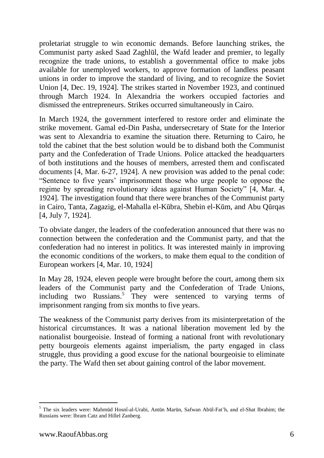proletariat struggle to win economic demands. Before launching strikes, the Communist party asked Saad Zaghlūl, the Wafd leader and premier, to legally recognize the trade unions, to establish a governmental office to make jobs available for unemployed workers, to approve formation of landless peasant unions in order to improve the standard of living, and to recognize the Soviet Union [4, Dec. 19, 1924]. The strikes started in November 1923, and continued through March 1924. In Alexandria the workers occupied factories and dismissed the entrepreneurs. Strikes occurred simultaneously in Cairo.

In March 1924, the government interfered to restore order and eliminate the strike movement. Gamal ed-Din Pasha, undersecretary of State for the Interior was sent to Alexandria to examine the situation there. Returning to Cairo, he told the cabinet that the best solution would be to disband both the Communist party and the Confederation of Trade Unions. Police attacked the headquarters of both institutions and the houses of members, arrested them and confiscated documents [4, Mar. 6-27, 1924]. A new provision was added to the penal code: "Sentence to five years' imprisonment those who urge people to oppose the regime by spreading revolutionary ideas against Human Society" [4, Mar. 4, 1924]. The investigation found that there were branches of the Communist party in Cairo, Tanta, Zagazig, el-Mahalla el-Kūbra, Shebin el-Kūm, and Abu Qūrqas [4, July 7, 1924].

To obviate danger, the leaders of the confederation announced that there was no connection between the confederation and the Communist party, and that the confederation had no interest in politics. It was interested mainly in improving the economic conditions of the workers, to make them equal to the condition of European workers [4, Mar. 10, 1924]

In May 28, 1924, eleven people were brought before the court, among them six leaders of the Communist party and the Confederation of Trade Unions, including two Russians.<sup>5</sup> They were sentenced to varying terms of imprisonment ranging from six months to five years.

The weakness of the Communist party derives from its misinterpretation of the historical circumstances. It was a national liberation movement led by the nationalist bourgeoisie. Instead of forming a national front with revolutionary petty bourgeois elements against imperialism, the party engaged in class struggle, thus providing a good excuse for the national bourgeoisie to eliminate the party. The Wafd then set about gaining control of the labor movement.

 $\overline{a}$ 

<sup>5</sup> The six leaders were: Mahmūd Hosnî-al-Urabi, Antūn Marūn, Safwan Abūl-Fat'h, and el-Shat Ibrahim; the Russians were: Ibram Catz and Hillel Zanberg.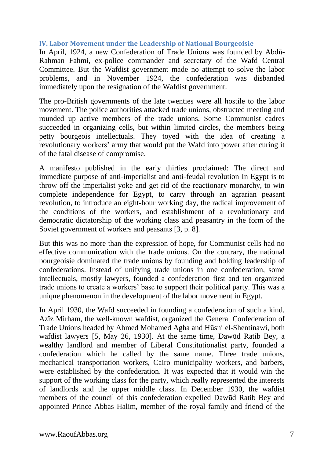### **IV. Labor Movement under the Leadership of National Bourgeoisie**

In April, 1924, a new Confederation of Trade Unions was founded by Abdū-Rahman Fahmi, ex-police commander and secretary of the Wafd Central Committee. But the Wafdist government made no attempt to solve the labor problems, and in November 1924, the confederation was disbanded immediately upon the resignation of the Wafdist government.

The pro-British governments of the late twenties were all hostile to the labor movement. The police authorities attacked trade unions, obstructed meeting and rounded up active members of the trade unions. Some Communist cadres succeeded in organizing cells, but within limited circles, the members being petty bourgeois intellectuals. They toyed with the idea of creating a revolutionary workers' army that would put the Wafd into power after curing it of the fatal disease of compromise.

A manifesto published in the early thirties proclaimed: The direct and immediate purpose of anti-imperialist and anti-feudal revolution In Egypt is to throw off the imperialist yoke and get rid of the reactionary monarchy, to win complete independence for Egypt, to carry through an agrarian peasant revolution, to introduce an eight-hour working day, the radical improvement of the conditions of the workers, and establishment of a revolutionary and democratic dictatorship of the working class and peasantry in the form of the Soviet government of workers and peasants [3, p. 8].

But this was no more than the expression of hope, for Communist cells had no effective communication with the trade unions. On the contrary, the national bourgeoisie dominated the trade unions by founding and holding leadership of confederations. Instead of unifying trade unions in one confederation, some intellectuals, mostly lawyers, founded a confederation first and ten organized trade unions to create a workers' base to support their political party. This was a unique phenomenon in the development of the labor movement in Egypt.

In April 1930, the Wafd succeeded in founding a confederation of such a kind. Azîz Mirham, the well-known wafdist, organized the General Confederation of Trade Unions headed by Ahmed Mohamed Agha and Hūsni el-Shentinawi, both wafdist lawyers [5, May 26, 1930]. At the same time, Dawūd Ratib Bey, a wealthy landlord and member of Liberal Constitutionalist party, founded a confederation which he called by the same name. Three trade unions, mechanical transportation workers, Cairo municipality workers, and barbers, were established by the confederation. It was expected that it would win the support of the working class for the party, which really represented the interests of landlords and the upper middle class. In December 1930, the wafdist members of the council of this confederation expelled Dawūd Ratib Bey and appointed Prince Abbas Halim, member of the royal family and friend of the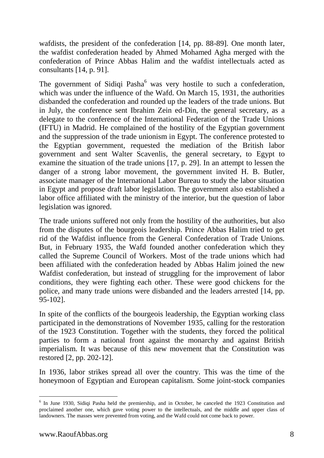wafdists, the president of the confederation [14, pp. 88-89]. One month later, the wafdist confederation headed by Ahmed Mohamed Agha merged with the confederation of Prince Abbas Halim and the wafdist intellectuals acted as consultants [14, p. 91].

The government of Sidiqi Pasha $<sup>6</sup>$  was very hostile to such a confederation,</sup> which was under the influence of the Wafd. On March 15, 1931, the authorities disbanded the confederation and rounded up the leaders of the trade unions. But in July, the conference sent Ibrahim Zein ed-Din, the general secretary, as a delegate to the conference of the International Federation of the Trade Unions (IFTU) in Madrid. He complained of the hostility of the Egyptian government and the suppression of the trade unionism in Egypt. The conference protested to the Egyptian government, requested the mediation of the British labor government and sent Walter Scavenlis, the general secretary, to Egypt to examine the situation of the trade unions [17, p. 29]. In an attempt to lessen the danger of a strong labor movement, the government invited H. B. Butler, associate manager of the International Labor Bureau to study the labor situation in Egypt and propose draft labor legislation. The government also established a labor office affiliated with the ministry of the interior, but the question of labor legislation was ignored.

The trade unions suffered not only from the hostility of the authorities, but also from the disputes of the bourgeois leadership. Prince Abbas Halim tried to get rid of the Wafdist influence from the General Confederation of Trade Unions. But, in February 1935, the Wafd founded another confederation which they called the Supreme Council of Workers. Most of the trade unions which had been affiliated with the confederation headed by Abbas Halim joined the new Wafdist confederation, but instead of struggling for the improvement of labor conditions, they were fighting each other. These were good chickens for the police, and many trade unions were disbanded and the leaders arrested [14, pp. 95-102].

In spite of the conflicts of the bourgeois leadership, the Egyptian working class participated in the demonstrations of November 1935, calling for the restoration of the 1923 Constitution. Together with the students, they forced the political parties to form a national front against the monarchy and against British imperialism. It was because of this new movement that the Constitution was restored [2, pp. 202-12].

In 1936, labor strikes spread all over the country. This was the time of the honeymoon of Egyptian and European capitalism. Some joint-stock companies

-

<sup>&</sup>lt;sup>6</sup> In June 1930, Sidiqi Pasha held the premiership, and in October, he canceled the 1923 Constitution and proclaimed another one, which gave voting power to the intellectuals, and the middle and upper class of landowners. The masses were prevented from voting, and the Wafd could not come back to power.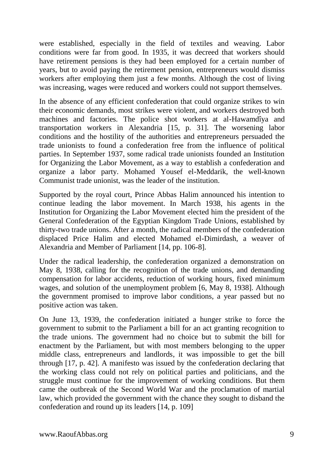were established, especially in the field of textiles and weaving. Labor conditions were far from good. In 1935, it was decreed that workers should have retirement pensions is they had been employed for a certain number of years, but to avoid paying the retirement pension, entrepreneurs would dismiss workers after employing them just a few months. Although the cost of living was increasing, wages were reduced and workers could not support themselves.

In the absence of any efficient confederation that could organize strikes to win their economic demands, most strikes were violent, and workers destroyed both machines and factories. The police shot workers at al-Hawamdîya and transportation workers in Alexandria [15, p. 31]. The worsening labor conditions and the hostility of the authorities and entrepreneurs persuaded the trade unionists to found a confederation free from the influence of political parties. In September 1937, some radical trade unionists founded an Institution for Organizing the Labor Movement, as a way to establish a confederation and organize a labor party. Mohamed Yousef el-Meddarik, the well-known Communist trade unionist, was the leader of the institution.

Supported by the royal court, Prince Abbas Halim announced his intention to continue leading the labor movement. In March 1938, his agents in the Institution for Organizing the Labor Movement elected him the president of the General Confederation of the Egyptian Kingdom Trade Unions, established by thirty-two trade unions. After a month, the radical members of the confederation displaced Price Halim and elected Mohamed el-Dimirdash, a weaver of Alexandria and Member of Parliament [14, pp. 106-8].

Under the radical leadership, the confederation organized a demonstration on May 8, 1938, calling for the recognition of the trade unions, and demanding compensation for labor accidents, reduction of working hours, fixed minimum wages, and solution of the unemployment problem [6, May 8, 1938]. Although the government promised to improve labor conditions, a year passed but no positive action was taken.

On June 13, 1939, the confederation initiated a hunger strike to force the government to submit to the Parliament a bill for an act granting recognition to the trade unions. The government had no choice but to submit the bill for enactment by the Parliament, but with most members belonging to the upper middle class, entrepreneurs and landlords, it was impossible to get the bill through [17, p. 42]. A manifesto was issued by the confederation declaring that the working class could not rely on political parties and politicians, and the struggle must continue for the improvement of working conditions. But them came the outbreak of the Second World War and the proclamation of martial law, which provided the government with the chance they sought to disband the confederation and round up its leaders [14, p. 109]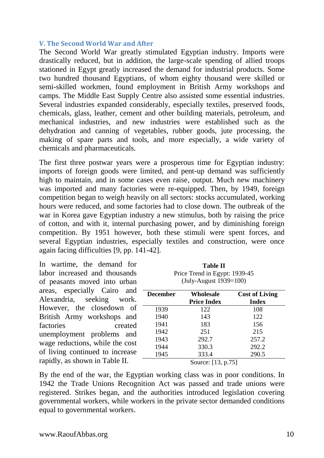#### **V. The Second World War and After**

The Second World War greatly stimulated Egyptian industry. Imports were drastically reduced, but in addition, the large-scale spending of allied troops stationed in Egypt greatly increased the demand for industrial products. Some two hundred thousand Egyptians, of whom eighty thousand were skilled or semi-skilled workmen, found employment in British Army workshops and camps. The Middle East Supply Centre also assisted some essential industries. Several industries expanded considerably, especially textiles, preserved foods, chemicals, glass, leather, cement and other building materials, petroleum, and mechanical industries, and new industries were established such as the dehydration and canning of vegetables, rubber goods, jute processing, the making of spare parts and tools, and more especially, a wide variety of chemicals and pharmaceuticals.

The first three postwar years were a prosperous time for Egyptian industry: imports of foreign goods were limited, and pent-up demand was sufficiently high to maintain, and in some cases even raise, output. Much new machinery was imported and many factories were re-equipped. Then, by 1949, foreign competition began to weigh heavily on all sectors: stocks accumulated, working hours were reduced, and some factories had to close down. The outbreak of the war in Korea gave Egyptian industry a new stimulus, both by raising the price of cotton, and with it, internal purchasing power, and by diminishing foreign competition. By 1951 however, both these stimuli were spent forces, and several Egyptian industries, especially textiles and construction, were once again facing difficulties [9, pp. 141-42].

In wartime, the demand for labor increased and thousands of peasants moved into urban areas, especially Cairo and Alexandria, seeking work. However, the closedown of British Army workshops and factories created unemployment problems and wage reductions, while the cost of living continued to increase rapidly, as shown in Table II.

**Table II** Price Trend in Egypt: 1939-45 (July-August 1939=100)

| <b>December</b> | <b>Wholesale</b><br><b>Price Index</b> | <b>Cost of Living</b><br><b>Index</b> |
|-----------------|----------------------------------------|---------------------------------------|
| 1939            | 122                                    | 108                                   |
| 1940            | 143                                    | 122                                   |
| 1941            | 183                                    | 156                                   |
| 1942            | 251                                    | 215                                   |
| 1943            | 292.7                                  | 257.2                                 |
| 1944            | 330.3                                  | 292.2                                 |
| 1945            | 333.4                                  | 290.5                                 |
|                 | Source: [13, p.75]                     |                                       |

By the end of the war, the Egyptian working class was in poor conditions. In 1942 the Trade Unions Recognition Act was passed and trade unions were registered. Strikes began, and the authorities introduced legislation covering governmental workers, while workers in the private sector demanded conditions equal to governmental workers.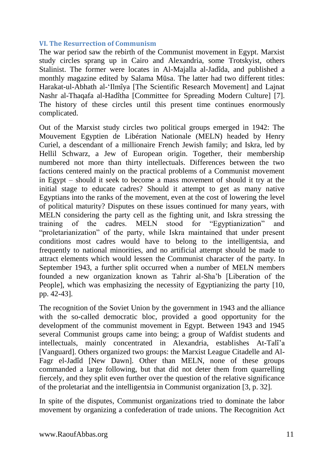#### **VI. The Resurrection of Communism**

The war period saw the rebirth of the Communist movement in Egypt. Marxist study circles sprang up in Cairo and Alexandria, some Trotskyist, others Stalinist. The former were locates in Al-Majalla al-Jadîda, and published a monthly magazine edited by Salama Mūsa. The latter had two different titles: Harakat-ul-Abhath al-'Ilmîya [The Scientific Research Movement] and Lajnat Nashr al-Thaqafa al-Hadîtha [Committee for Spreading Modern Culture] [7]. The history of these circles until this present time continues enormously complicated.

Out of the Marxist study circles two political groups emerged in 1942: The Mouvement Egyptien de Libération Nationale (MELN) headed by Henry Curiel, a descendant of a millionaire French Jewish family; and Iskra, led by Hellil Schwarz, a Jew of European origin. Together, their membership numbered not more than thirty intellectuals. Differences between the two factions centered mainly on the practical problems of a Communist movement in Egypt – should it seek to become a mass movement of should it try at the initial stage to educate cadres? Should it attempt to get as many native Egyptians into the ranks of the movement, even at the cost of lowering the level of political maturity? Disputes on these issues continued for many years, with MELN considering the party cell as the fighting unit, and Iskra stressing the training of the cadres. MELN stood for "Egyptianization" and "proletarianization" of the party, while Iskra maintained that under present conditions most cadres would have to belong to the intelligentsia, and frequently to national minorities, and no artificial attempt should be made to attract elements which would lessen the Communist character of the party. In September 1943, a further split occurred when a number of MELN members founded a new organization known as Tahrir al-Sha'b [Liberation of the People], which was emphasizing the necessity of Egyptianizing the party [10, pp. 42-43].

The recognition of the Soviet Union by the government in 1943 and the alliance with the so-called democratic bloc, provided a good opportunity for the development of the communist movement in Egypt. Between 1943 and 1945 several Communist groups came into being; a group of Wafdist students and intellectuals, mainly concentrated in Alexandria, establishes At-Talî'a [Vanguard]. Others organized two groups: the Marxist League Citadelle and Al-Fagr el-Jadîd [New Dawn]. Other than MELN, none of these groups commanded a large following, but that did not deter them from quarrelling fiercely, and they split even further over the question of the relative significance of the proletariat and the intelligentsia in Communist organization [3, p. 32].

In spite of the disputes, Communist organizations tried to dominate the labor movement by organizing a confederation of trade unions. The Recognition Act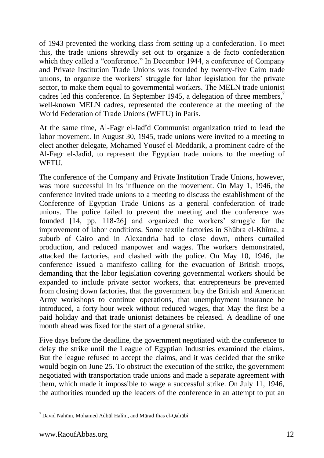of 1943 prevented the working class from setting up a confederation. To meet this, the trade unions shrewdly set out to organize a de facto confederation which they called a "conference." In December 1944, a conference of Company and Private Institution Trade Unions was founded by twenty-five Cairo trade unions, to organize the workers' struggle for labor legislation for the private sector, to make them equal to governmental workers. The MELN trade unionist cadres led this conference. In September 1945, a delegation of three members,<sup>7</sup> well-known MELN cadres, represented the conference at the meeting of the World Federation of Trade Unions (WFTU) in Paris.

At the same time, Al-Fagr el-Jadîd Communist organization tried to lead the labor movement. In August 30, 1945, trade unions were invited to a meeting to elect another delegate, Mohamed Yousef el-Meddarik, a prominent cadre of the Al-Fagr el-Jadîd, to represent the Egyptian trade unions to the meeting of WFTU.

The conference of the Company and Private Institution Trade Unions, however, was more successful in its influence on the movement. On May 1, 1946, the conference invited trade unions to a meeting to discuss the establishment of the Conference of Egyptian Trade Unions as a general confederation of trade unions. The police failed to prevent the meeting and the conference was founded [14, pp. 118-26] and organized the workers' struggle for the improvement of labor conditions. Some textile factories in Shūbra el-Khîma, a suburb of Cairo and in Alexandria had to close down, others curtailed production, and reduced manpower and wages. The workers demonstrated, attacked the factories, and clashed with the police. On May 10, 1946, the conference issued a manifesto calling for the evacuation of British troops, demanding that the labor legislation covering governmental workers should be expanded to include private sector workers, that entrepreneurs be prevented from closing down factories, that the government buy the British and American Army workshops to continue operations, that unemployment insurance be introduced, a forty-hour week without reduced wages, that May the first be a paid holiday and that trade unionist detainees be released. A deadline of one month ahead was fixed for the start of a general strike.

Five days before the deadline, the government negotiated with the conference to delay the strike until the League of Egyptian Industries examined the claims. But the league refused to accept the claims, and it was decided that the strike would begin on June 25. To obstruct the execution of the strike, the government negotiated with transportation trade unions and made a separate agreement with them, which made it impossible to wage a successful strike. On July 11, 1946, the authorities rounded up the leaders of the conference in an attempt to put an

-

 $^{7}$  David Nahūm, Mohamed Adbūl Halîm, and Mūrad Ilias el-Qaliūbî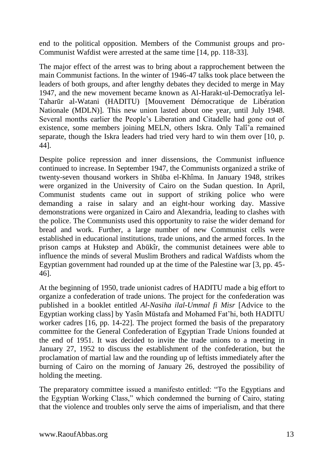end to the political opposition. Members of the Communist groups and pro-Communist Wafdist were arrested at the same time [14, pp. 118-33].

The major effect of the arrest was to bring about a rapprochement between the main Communist factions. In the winter of 1946-47 talks took place between the leaders of both groups, and after lengthy debates they decided to merge in May 1947, and the new movement became known as Al-Harakt-ul-Democratîya lel-Taharūr al-Watani (HADITU) [Mouvement Démocratique de Libération Nationale (MDLN)]. This new union lasted about one year, until July 1948. Several months earlier the People's Liberation and Citadelle had gone out of existence, some members joining MELN, others Iskra. Only Talî'a remained separate, though the Iskra leaders had tried very hard to win them over [10, p. 44].

Despite police repression and inner dissensions, the Communist influence continued to increase. In September 1947, the Communists organized a strike of twenty-seven thousand workers in Shūba el-Khîma. In January 1948, strikes were organized in the University of Cairo on the Sudan question. In April, Communist students came out in support of striking police who were demanding a raise in salary and an eight-hour working day. Massive demonstrations were organized in Cairo and Alexandria, leading to clashes with the police. The Communists used this opportunity to raise the wider demand for bread and work. Further, a large number of new Communist cells were established in educational institutions, trade unions, and the armed forces. In the prison camps at Hukstep and Abūkîr, the communist detainees were able to influence the minds of several Muslim Brothers and radical Wafdists whom the Egyptian government had rounded up at the time of the Palestine war [3, pp. 45- 46].

At the beginning of 1950, trade unionist cadres of HADITU made a big effort to organize a confederation of trade unions. The project for the confederation was published in a booklet entitled *Al-Nasiha ilal-Ummal fi Misr* [Advice to the Egyptian working class] by Yasîn Mūstafa and Mohamed Fat'hi, both HADITU worker cadres [16, pp. 14-22]. The project formed the basis of the preparatory committee for the General Confederation of Egyptian Trade Unions founded at the end of 1951. It was decided to invite the trade unions to a meeting in January 27, 1952 to discuss the establishment of the confederation, but the proclamation of martial law and the rounding up of leftists immediately after the burning of Cairo on the morning of January 26, destroyed the possibility of holding the meeting.

The preparatory committee issued a manifesto entitled: "To the Egyptians and the Egyptian Working Class," which condemned the burning of Cairo, stating that the violence and troubles only serve the aims of imperialism, and that there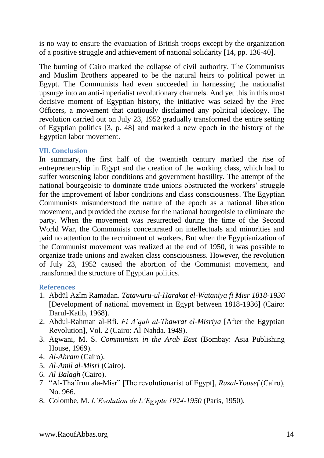is no way to ensure the evacuation of British troops except by the organization of a positive struggle and achievement of national solidarity [14, pp. 136-40].

The burning of Cairo marked the collapse of civil authority. The Communists and Muslim Brothers appeared to be the natural heirs to political power in Egypt. The Communists had even succeeded in harnessing the nationalist upsurge into an anti-imperialist revolutionary channels. And yet this in this most decisive moment of Egyptian history, the initiative was seized by the Free Officers, a movement that cautiously disclaimed any political ideology. The revolution carried out on July 23, 1952 gradually transformed the entire setting of Egyptian politics [3, p. 48] and marked a new epoch in the history of the Egyptian labor movement.

### **VII. Conclusion**

In summary, the first half of the twentieth century marked the rise of entrepreneurship in Egypt and the creation of the working class, which had to suffer worsening labor conditions and government hostility. The attempt of the national bourgeoisie to dominate trade unions obstructed the workers' struggle for the improvement of labor conditions and class consciousness. The Egyptian Communists misunderstood the nature of the epoch as a national liberation movement, and provided the excuse for the national bourgeoisie to eliminate the party. When the movement was resurrected during the time of the Second World War, the Communists concentrated on intellectuals and minorities and paid no attention to the recruitment of workers. But when the Egyptianization of the Communist movement was realized at the end of 1950, it was possible to organize trade unions and awaken class consciousness. However, the revolution of July 23, 1952 caused the abortion of the Communist movement, and transformed the structure of Egyptian politics.

### **References**

- 1. Abdūl Azîm Ramadan. *Tatawuru-ul-Harakat el-Wataniya fi Misr 1818-1936* [Development of national movement in Egypt between 1818-1936] (Cairo: Darul-Katib, 1968).
- 2. Abdul-Rahman al-Rfi. *Fi A'qab al-Thawrat el-Misriya* [After the Egyptian Revolution], Vol. 2 (Cairo: Al-Nahda. 1949).
- 3. Agwani, M. S. *Communism in the Arab East* (Bombay: Asia Publishing House, 1969).
- 4. *Al-Ahram* (Cairo).
- 5. *Al-Amil al-Misri* (Cairo).
- 6. *Al-Balagh* (Cairo).
- 7. "Al-Tha'îrun ala-Misr" [The revolutionarist of Egypt], *Ruzal-Yousef* (Cairo), No. 966.
- 8. Colombe, M. *L'Evolution de L'Egypte 1924-1950* (Paris, 1950).